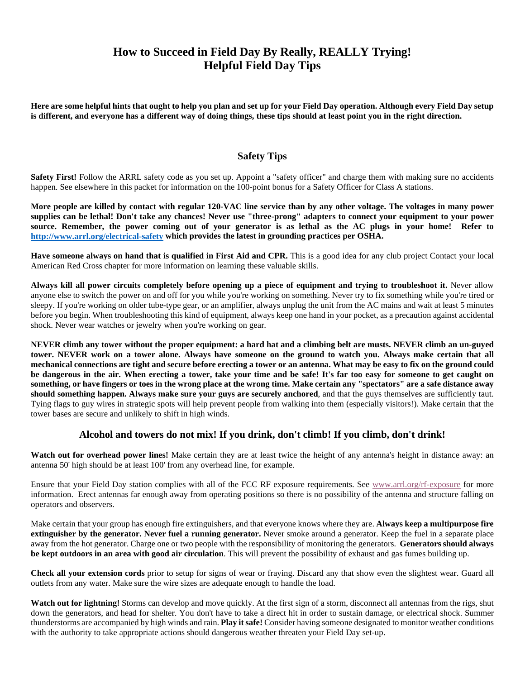# **How to Succeed in Field Day By Really, REALLY Trying! Helpful Field Day Tips**

**Here are some helpful hints that ought to help you plan and set up for your Field Day operation. Although every Field Day setup is different, and everyone has a different way of doing things, these tips should at least point you in the right direction.** 

## **Safety Tips**

**Safety First!** Follow the ARRL safety code as you set up. Appoint a "safety officer" and charge them with making sure no accidents happen. See elsewhere in this packet for information on the 100-point bonus for a Safety Officer for Class A stations.

**More people are killed by contact with regular 120-VAC line service than by any other voltage. The voltages in many power supplies can be lethal! Don't take any chances! Never use "three-prong" adapters to connect your equipment to your power source. Remember, the power coming out of your generator is as lethal as the AC plugs in your home! Refer to <http://www.arrl.org/electrical-safety> which provides the latest in grounding practices per OSHA.**

**Have someone always on hand that is qualified in First Aid and CPR.** This is a good idea for any club project Contact your local American Red Cross chapter for more information on learning these valuable skills.

**Always kill all power circuits completely before opening up a piece of equipment and trying to troubleshoot it.** Never allow anyone else to switch the power on and off for you while you're working on something. Never try to fix something while you're tired or sleepy. If you're working on older tube-type gear, or an amplifier, always unplug the unit from the AC mains and wait at least 5 minutes before you begin. When troubleshooting this kind of equipment, always keep one hand in your pocket, as a precaution against accidental shock. Never wear watches or jewelry when you're working on gear.

**NEVER climb any tower without the proper equipment: a hard hat and a climbing belt are musts. NEVER climb an un-guyed tower. NEVER work on a tower alone. Always have someone on the ground to watch you. Always make certain that all mechanical connections are tight and secure before erecting a tower or an antenna. What may be easy to fix on the ground could be dangerous in the air. When erecting a tower, take your time and be safe! It's far too easy for someone to get caught on something, or have fingers or toes in the wrong place at the wrong time. Make certain any "spectators" are a safe distance away should something happen. Always make sure your guys are securely anchored,** and that the guys themselves are sufficiently taut. Tying flags to guy wires in strategic spots will help prevent people from walking into them (especially visitors!). Make certain that the tower bases are secure and unlikely to shift in high winds.

#### **Alcohol and towers do not mix! If you drink, don't climb! If you climb, don't drink!**

**Watch out for overhead power lines!** Make certain they are at least twice the height of any antenna's height in distance away: an antenna 50' high should be at least 100' from any overhead line, for example.

Ensure that your Field Day station complies with all of the FCC RF exposure requirements. See [www.arrl.org/rf-exposure](http://www.arrl.org/rf-exposure) for more information. Erect antennas far enough away from operating positions so there is no possibility of the antenna and structure falling on operators and observers.

Make certain that your group has enough fire extinguishers, and that everyone knows where they are. **Always keep a multipurpose fire extinguisher by the generator. Never fuel a running generator.** Never smoke around a generator. Keep the fuel in a separate place away from the hot generator. Charge one or two people with the responsibility of monitoring the generators. **Generators should always be kept outdoors in an area with good air circulation**. This will prevent the possibility of exhaust and gas fumes building up.

**Check all your extension cords** prior to setup for signs of wear or fraying. Discard any that show even the slightest wear. Guard all outlets from any water. Make sure the wire sizes are adequate enough to handle the load.

Watch out for lightning! Storms can develop and move quickly. At the first sign of a storm, disconnect all antennas from the rigs, shut down the generators, and head for shelter. You don't have to take a direct hit in order to sustain damage, or electrical shock. Summer thunderstorms are accompanied by high winds and rain. **Play it safe!** Consider having someone designated to monitor weather conditions with the authority to take appropriate actions should dangerous weather threaten your Field Day set-up.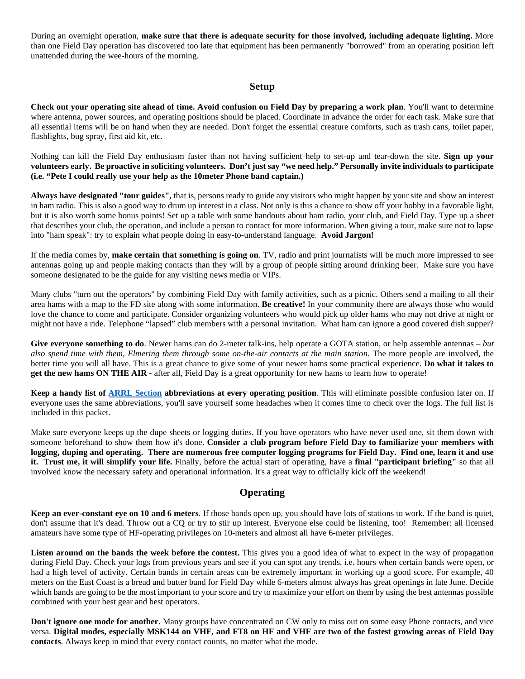During an overnight operation, **make sure that there is adequate security for those involved, including adequate lighting.** More than one Field Day operation has discovered too late that equipment has been permanently "borrowed" from an operating position left unattended during the wee-hours of the morning.

#### **Setup**

**Check out your operating site ahead of time. Avoid confusion on Field Day by preparing a work plan**. You'll want to determine where antenna, power sources, and operating positions should be placed. Coordinate in advance the order for each task. Make sure that all essential items will be on hand when they are needed. Don't forget the essential creature comforts, such as trash cans, toilet paper, flashlights, bug spray, first aid kit, etc.

Nothing can kill the Field Day enthusiasm faster than not having sufficient help to set-up and tear-down the site. **Sign up your volunteers early. Be proactive in soliciting volunteers. Don't just say "we need help." Personally invite individuals to participate (i.e. "Pete I could really use your help as the 10meter Phone band captain.)**

**Always have designated "tour guides",** that is, persons ready to guide any visitors who might happen by your site and show an interest in ham radio. This is also a good way to drum up interest in a class. Not only is this a chance to show off your hobby in a favorable light, but it is also worth some bonus points! Set up a table with some handouts about ham radio, your club, and Field Day. Type up a sheet that describes your club, the operation, and include a person to contact for more information. When giving a tour, make sure not to lapse into "ham speak": try to explain what people doing in easy-to-understand language. **Avoid Jargon!**

If the media comes by, **make certain that something is going on**. TV, radio and print journalists will be much more impressed to see antennas going up and people making contacts than they will by a group of people sitting around drinking beer. Make sure you have someone designated to be the guide for any visiting news media or VIPs.

Many clubs "turn out the operators" by combining Field Day with family activities, such as a picnic. Others send a mailing to all their area hams with a map to the FD site along with some information. **Be creative!** In your community there are always those who would love the chance to come and participate. Consider organizing volunteers who would pick up older hams who may not drive at night or might not have a ride. Telephone "lapsed" club members with a personal invitation. What ham can ignore a good covered dish supper?

**Give everyone something to do**. Newer hams can do 2-meter talk-ins, help operate a GOTA station, or help assemble antennas – *but also spend time with them, Elmering them through some on-the-air contacts at the main station.* The more people are involved, the better time you will all have. This is a great chance to give some of your newer hams some practical experience. **Do what it takes to get the new hams ON THE AIR** - after all, Field Day is a great opportunity for new hams to learn how to operate!

**Keep a handy list of [ARRL Section](http://www.arrl.org/contest-sections-list) abbreviations at every operating position**. This will eliminate possible confusion later on. If everyone uses the same abbreviations, you'll save yourself some headaches when it comes time to check over the logs. The full list is included in this packet.

Make sure everyone keeps up the dupe sheets or logging duties. If you have operators who have never used one, sit them down with someone beforehand to show them how it's done. **Consider a club program before Field Day to familiarize your members with logging, duping and operating. There are numerous free computer logging programs for Field Day. Find one, learn it and use it. Trust me, it will simplify your life.** Finally, before the actual start of operating, have a **final "participant briefing"** so that all involved know the necessary safety and operational information. It's a great way to officially kick off the weekend!

# **Operating**

**Keep an ever-constant eye on 10 and 6 meters**. If those bands open up, you should have lots of stations to work. If the band is quiet, don't assume that it's dead. Throw out a CQ or try to stir up interest. Everyone else could be listening, too! Remember: all licensed amateurs have some type of HF-operating privileges on 10-meters and almost all have 6-meter privileges.

Listen around on the bands the week before the contest. This gives you a good idea of what to expect in the way of propagation during Field Day. Check your logs from previous years and see if you can spot any trends, i.e. hours when certain bands were open, or had a high level of activity. Certain bands in certain areas can be extremely important in working up a good score. For example, 40 meters on the East Coast is a bread and butter band for Field Day while 6-meters almost always has great openings in late June. Decide which bands are going to be the most important to your score and try to maximize your effort on them by using the best antennas possible combined with your best gear and best operators.

**Don't ignore one mode for another.** Many groups have concentrated on CW only to miss out on some easy Phone contacts, and vice versa. **Digital modes, especially MSK144 on VHF, and FT8 on HF and VHF are two of the fastest growing areas of Field Day contacts**. Always keep in mind that every contact counts, no matter what the mode.